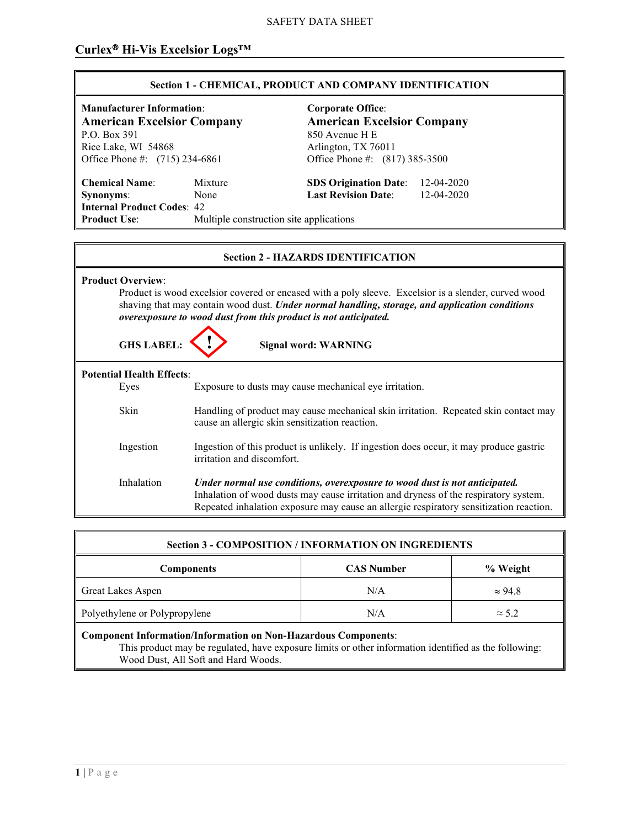#### SAFETY DATA SHEET

# Curlex<sup>®</sup> Hi-Vis Excelsior Logs<sup>™</sup>

## **Section 1 - CHEMICAL, PRODUCT AND COMPANY IDENTIFICATION**

850 Avenue H E

Office Phone #: (817) 385-3500

**Manufacturer Information:**<br> **American Excelsior Company**<br> **American Excelsior Company**<br> **American Excelsior Company American Excelsior Company P.O. Box 391** Rice Lake, WI 54868 Arlington, TX 76011<br>Office Phone #: (715) 234-6861 Office Phone #: (81

**Chemical Name**: Mixture **SDS Origination Date**: 12-04-2020 **Synonyms**: None **Last Revision Date**: 12-04-2020 **Internal Product Codes: 42<br>Product Use:** Mu **Multiple construction site applications** 

#### **Section 2 - HAZARDS IDENTIFICATION**

| <b>Product Overview:</b><br>Product is wood excelsior covered or encased with a poly sleeve. Excelsior is a slender, curved wood<br>shaving that may contain wood dust. Under normal handling, storage, and application conditions<br>overexposure to wood dust from this product is not anticipated.<br><b>GHS LABEL:</b><br><b>Signal word: WARNING</b> |  |                                                                                                                                                                                                                                                              |
|-----------------------------------------------------------------------------------------------------------------------------------------------------------------------------------------------------------------------------------------------------------------------------------------------------------------------------------------------------------|--|--------------------------------------------------------------------------------------------------------------------------------------------------------------------------------------------------------------------------------------------------------------|
| <b>Potential Health Effects:</b>                                                                                                                                                                                                                                                                                                                          |  |                                                                                                                                                                                                                                                              |
| Eyes                                                                                                                                                                                                                                                                                                                                                      |  | Exposure to dusts may cause mechanical eye irritation.                                                                                                                                                                                                       |
| Skin                                                                                                                                                                                                                                                                                                                                                      |  | Handling of product may cause mechanical skin irritation. Repeated skin contact may<br>cause an allergic skin sensitization reaction.                                                                                                                        |
| Ingestion                                                                                                                                                                                                                                                                                                                                                 |  | Ingestion of this product is unlikely. If ingestion does occur, it may produce gastric<br>irritation and discomfort.                                                                                                                                         |
| Inhalation                                                                                                                                                                                                                                                                                                                                                |  | Under normal use conditions, overexposure to wood dust is not anticipated.<br>Inhalation of wood dusts may cause irritation and dryness of the respiratory system.<br>Repeated inhalation exposure may cause an allergic respiratory sensitization reaction. |

| <b>Section 3 - COMPOSITION / INFORMATION ON INGREDIENTS</b>           |                   |                |
|-----------------------------------------------------------------------|-------------------|----------------|
| <b>Components</b>                                                     | <b>CAS Number</b> | % Weight       |
| <b>Great Lakes Aspen</b>                                              | N/A               | $\approx 94.8$ |
| Polyethylene or Polypropylene                                         | N/A               | $\approx$ 5.2  |
| <b>Component Information/Information on Non-Hazardous Components:</b> |                   |                |

This product may be regulated, have exposure limits or other information identified as the following: Wood Dust, All Soft and Hard Woods.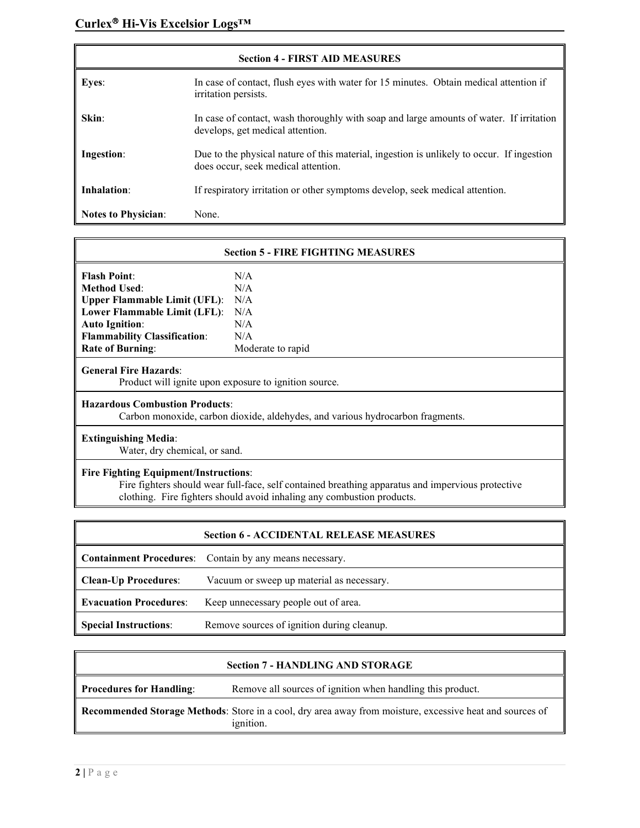| <b>Section 4 - FIRST AID MEASURES</b> |                                                                                                                                  |  |
|---------------------------------------|----------------------------------------------------------------------------------------------------------------------------------|--|
| <b>Eyes:</b>                          | In case of contact, flush eyes with water for 15 minutes. Obtain medical attention if<br>irritation persists.                    |  |
| Skin:                                 | In case of contact, wash thoroughly with soap and large amounts of water. If irritation<br>develops, get medical attention.      |  |
| Ingestion:                            | Due to the physical nature of this material, ingestion is unlikely to occur. If ingestion<br>does occur, seek medical attention. |  |
| Inhalation:                           | If respiratory irritation or other symptoms develop, seek medical attention.                                                     |  |
| <b>Notes to Physician:</b>            | None.                                                                                                                            |  |

| <b>Section 5 - FIRE FIGHTING MEASURES</b>                                                                                                         |                   |  |
|---------------------------------------------------------------------------------------------------------------------------------------------------|-------------------|--|
| <b>Flash Point:</b>                                                                                                                               | N/A               |  |
| <b>Method Used:</b>                                                                                                                               | N/A               |  |
| <b>Upper Flammable Limit (UFL):</b>                                                                                                               | N/A               |  |
| Lower Flammable Limit (LFL):                                                                                                                      | N/A               |  |
| <b>Auto Ignition:</b>                                                                                                                             | N/A               |  |
| <b>Flammability Classification:</b>                                                                                                               | N/A               |  |
| <b>Rate of Burning:</b>                                                                                                                           | Moderate to rapid |  |
| <b>General Fire Hazards:</b><br>Product will ignite upon exposure to ignition source.                                                             |                   |  |
| <b>Hazardous Combustion Products:</b><br>Carbon monoxide, carbon dioxide, aldehydes, and various hydrocarbon fragments.                           |                   |  |
| <b>Extinguishing Media:</b><br>Water, dry chemical, or sand.                                                                                      |                   |  |
| <b>Fire Fighting Equipment/Instructions:</b><br>Fire fighters should wear full-face, self contained breathing apparatus and impervious protective |                   |  |

clothing. Fire fighters should avoid inhaling any combustion products.

| <b>Section 6 - ACCIDENTAL RELEASE MEASURES</b> |                                                                |
|------------------------------------------------|----------------------------------------------------------------|
|                                                | <b>Containment Procedures:</b> Contain by any means necessary. |
| <b>Clean-Up Procedures:</b>                    | Vacuum or sweep up material as necessary.                      |
| <b>Evacuation Procedures:</b>                  | Keep unnecessary people out of area.                           |
| <b>Special Instructions:</b>                   | Remove sources of ignition during cleanup.                     |

| <b>Section 7 - HANDLING AND STORAGE</b> |                                                                                                                       |
|-----------------------------------------|-----------------------------------------------------------------------------------------------------------------------|
| Procedures for Handling:                | Remove all sources of ignition when handling this product.                                                            |
|                                         | Recommended Storage Methods: Store in a cool, dry area away from moisture, excessive heat and sources of<br>ignition. |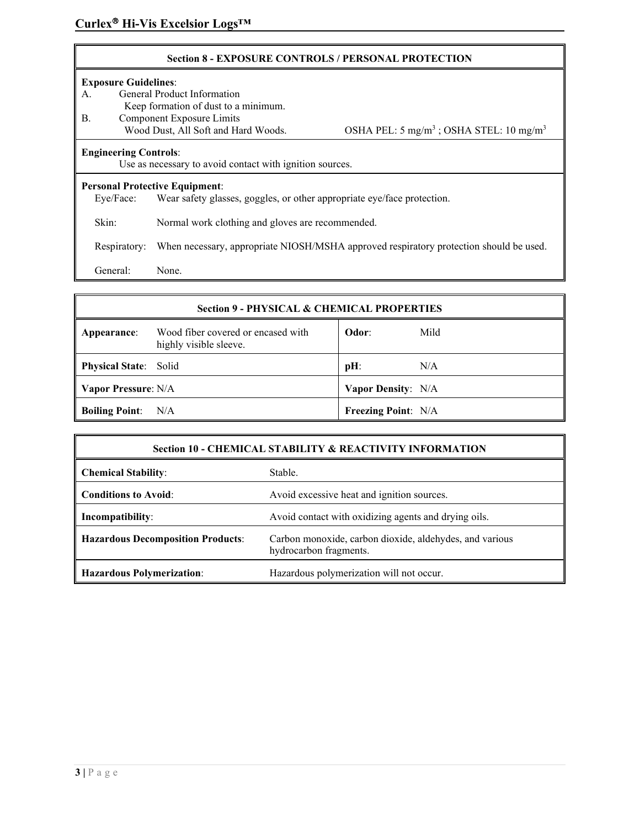#### **Section 8 - EXPOSURE CONTROLS / PERSONAL PROTECTION**

#### **Exposure Guidelines**:

A. General Product Information Keep formation of dust to a minimum. B. Component Exposure Limits<br>Wood Dust, All Soft and Hard Woods. OSHA PEL:  $5 \text{ mg/m}^3$ ; OSHA STEL: 10 mg/m<sup>3</sup> **Engineering Controls**: Use as necessary to avoid contact with ignition sources. **Personal Protective Equipment**: Eye/Face: Wear safety glasses, goggles, or other appropriate eye/face protection. Skin: Normal work clothing and gloves are recommended. Respiratory: When necessary, appropriate NIOSH/MSHA approved respiratory protection should be used.

General: None.

# **Section 9 - PHYSICAL & CHEMICAL PROPERTIES Appearance**: Wood fiber covered or encased with highly visible sleeve. **Odor**: Mild **Physical State:** Solid **pH:** N/A **Vapor Pressure**: N/A **Vapor Density**: N/A **Boiling Point:** N/A **Freezing Point:** N/A

| <b>Section 10 - CHEMICAL STABILITY &amp; REACTIVITY INFORMATION</b> |                                                                                   |
|---------------------------------------------------------------------|-----------------------------------------------------------------------------------|
| <b>Chemical Stability:</b>                                          | Stable.                                                                           |
| <b>Conditions to Avoid:</b>                                         | Avoid excessive heat and ignition sources.                                        |
| Incompatibility:                                                    | Avoid contact with oxidizing agents and drying oils.                              |
| <b>Hazardous Decomposition Products:</b>                            | Carbon monoxide, carbon dioxide, aldehydes, and various<br>hydrocarbon fragments. |
| Hazardous Polymerization:                                           | Hazardous polymerization will not occur.                                          |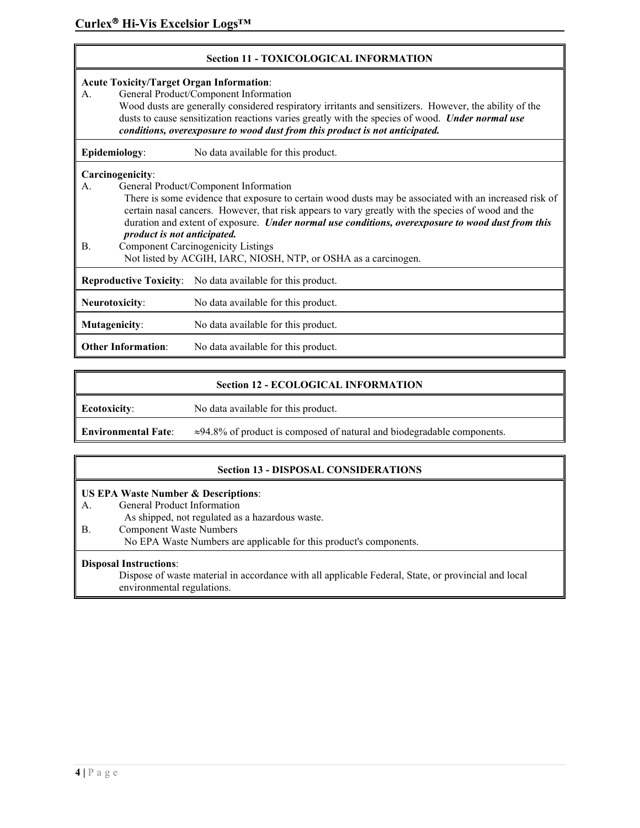| <b>Section 11 - TOXICOLOGICAL INFORMATION</b>                                                                                                                                                                                                                                                                                                                                               |                                                                                                                                                                                                                                                                                                                                                                                                                                                                                                                               |                                     |  |
|---------------------------------------------------------------------------------------------------------------------------------------------------------------------------------------------------------------------------------------------------------------------------------------------------------------------------------------------------------------------------------------------|-------------------------------------------------------------------------------------------------------------------------------------------------------------------------------------------------------------------------------------------------------------------------------------------------------------------------------------------------------------------------------------------------------------------------------------------------------------------------------------------------------------------------------|-------------------------------------|--|
| <b>Acute Toxicity/Target Organ Information:</b><br>General Product/Component Information<br>А.<br>Wood dusts are generally considered respiratory irritants and sensitizers. However, the ability of the<br>dusts to cause sensitization reactions varies greatly with the species of wood. Under normal use<br>conditions, overexposure to wood dust from this product is not anticipated. |                                                                                                                                                                                                                                                                                                                                                                                                                                                                                                                               |                                     |  |
|                                                                                                                                                                                                                                                                                                                                                                                             | Epidemiology:                                                                                                                                                                                                                                                                                                                                                                                                                                                                                                                 | No data available for this product. |  |
| А.<br><b>B.</b>                                                                                                                                                                                                                                                                                                                                                                             | Carcinogenicity:<br>General Product/Component Information<br>There is some evidence that exposure to certain wood dusts may be associated with an increased risk of<br>certain nasal cancers. However, that risk appears to vary greatly with the species of wood and the<br>duration and extent of exposure. Under normal use conditions, overexposure to wood dust from this<br>product is not anticipated.<br><b>Component Carcinogenicity Listings</b><br>Not listed by ACGIH, IARC, NIOSH, NTP, or OSHA as a carcinogen. |                                     |  |
| <b>Reproductive Toxicity:</b> No data available for this product.                                                                                                                                                                                                                                                                                                                           |                                                                                                                                                                                                                                                                                                                                                                                                                                                                                                                               |                                     |  |
|                                                                                                                                                                                                                                                                                                                                                                                             | <b>Neurotoxicity:</b>                                                                                                                                                                                                                                                                                                                                                                                                                                                                                                         | No data available for this product. |  |
|                                                                                                                                                                                                                                                                                                                                                                                             | Mutagenicity:                                                                                                                                                                                                                                                                                                                                                                                                                                                                                                                 | No data available for this product. |  |
| <b>Other Information:</b><br>No data available for this product.                                                                                                                                                                                                                                                                                                                            |                                                                                                                                                                                                                                                                                                                                                                                                                                                                                                                               |                                     |  |

## **Section 12 - ECOLOGICAL INFORMATION**

**Ecotoxicity**: No data available for this product.

**Environmental Fate**: ≈94.8% of product is composed of natural and biodegradable components.

# **Section 13 - DISPOSAL CONSIDERATIONS**

#### **US EPA Waste Number & Descriptions**:

- A. General Product Information
	- As shipped, not regulated as a hazardous waste.
- B. Component Waste Numbers
	- No EPA Waste Numbers are applicable for this product's components.

## **Disposal Instructions**:

Dispose of waste material in accordance with all applicable Federal, State, or provincial and local environmental regulations.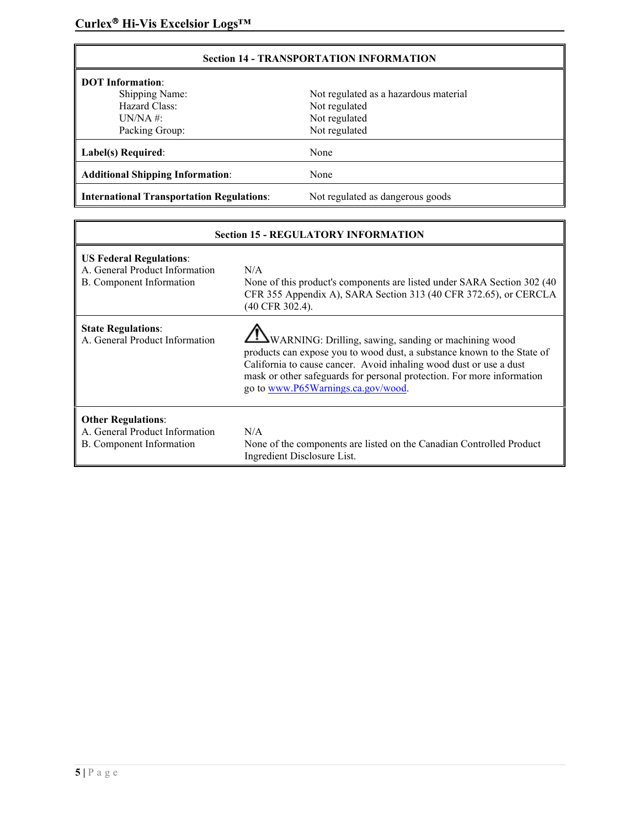| <b>Section 14 - TRANSPORTATION INFORMATION</b>   |                                       |  |
|--------------------------------------------------|---------------------------------------|--|
| <b>DOT</b> Information:                          |                                       |  |
| <b>Shipping Name:</b>                            | Not regulated as a hazardous material |  |
| Hazard Class:                                    | Not regulated                         |  |
| $UN/NA$ #:                                       | Not regulated                         |  |
| Packing Group:                                   | Not regulated                         |  |
| Label(s) Required:                               | None                                  |  |
| <b>Additional Shipping Information:</b>          | None                                  |  |
| <b>International Transportation Regulations:</b> | Not regulated as dangerous goods      |  |

| <b>Section 15 - REGULATORY INFORMATION</b>                                                   |                                                                                                                                                                                                                                                                                                                                |  |
|----------------------------------------------------------------------------------------------|--------------------------------------------------------------------------------------------------------------------------------------------------------------------------------------------------------------------------------------------------------------------------------------------------------------------------------|--|
| <b>US Federal Regulations:</b><br>A. General Product Information<br>B. Component Information | N/A<br>None of this product's components are listed under SARA Section 302 (40)<br>CFR 355 Appendix A), SARA Section 313 (40 CFR 372.65), or CERCLA<br>(40 CFR 302.4).                                                                                                                                                         |  |
| <b>State Regulations:</b><br>A. General Product Information                                  | <b>I</b> WARNING: Drilling, sawing, sanding or machining wood<br>products can expose you to wood dust, a substance known to the State of<br>California to cause cancer. Avoid inhaling wood dust or use a dust<br>mask or other safeguards for personal protection. For more information<br>go to www.P65Warnings.ca.gov/wood. |  |
| <b>Other Regulations:</b><br>A. General Product Information<br>B. Component Information      | N/A<br>None of the components are listed on the Canadian Controlled Product<br>Ingredient Disclosure List.                                                                                                                                                                                                                     |  |